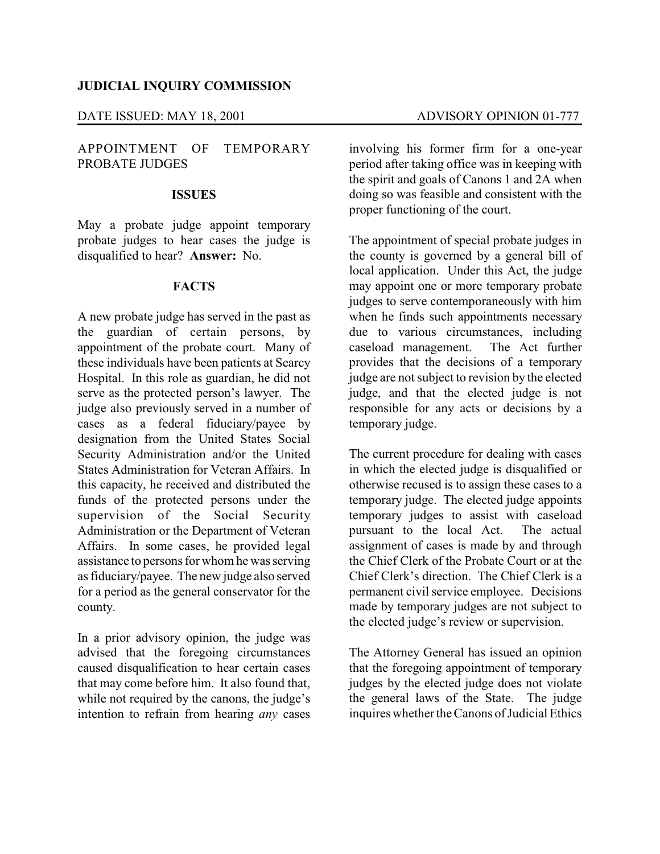### DATE ISSUED: MAY 18, 2001 ADVISORY OPINION 01-777

# APPOINTMENT OF TEMPORARY PROBATE JUDGES

#### **ISSUES**

May a probate judge appoint temporary probate judges to hear cases the judge is disqualified to hear? **Answer:** No.

# **FACTS**

A new probate judge has served in the past as the guardian of certain persons, by appointment of the probate court. Many of these individuals have been patients at Searcy Hospital. In this role as guardian, he did not serve as the protected person's lawyer. The judge also previously served in a number of cases as a federal fiduciary/payee by designation from the United States Social Security Administration and/or the United States Administration for Veteran Affairs. In this capacity, he received and distributed the funds of the protected persons under the supervision of the Social Security Administration or the Department of Veteran Affairs. In some cases, he provided legal assistance to persons for whom he was serving as fiduciary/payee. The new judge also served for a period as the general conservator for the county.

In a prior advisory opinion, the judge was advised that the foregoing circumstances caused disqualification to hear certain cases that may come before him. It also found that, while not required by the canons, the judge's intention to refrain from hearing *any* cases involving his former firm for a one-year period after taking office was in keeping with the spirit and goals of Canons 1 and 2A when doing so was feasible and consistent with the proper functioning of the court.

The appointment of special probate judges in the county is governed by a general bill of local application. Under this Act, the judge may appoint one or more temporary probate judges to serve contemporaneously with him when he finds such appointments necessary due to various circumstances, including caseload management. The Act further provides that the decisions of a temporary judge are not subject to revision by the elected judge, and that the elected judge is not responsible for any acts or decisions by a temporary judge.

The current procedure for dealing with cases in which the elected judge is disqualified or otherwise recused is to assign these cases to a temporary judge. The elected judge appoints temporary judges to assist with caseload pursuant to the local Act. The actual assignment of cases is made by and through the Chief Clerk of the Probate Court or at the Chief Clerk's direction. The Chief Clerk is a permanent civil service employee. Decisions made by temporary judges are not subject to the elected judge's review or supervision.

The Attorney General has issued an opinion that the foregoing appointment of temporary judges by the elected judge does not violate the general laws of the State. The judge inquires whether the Canons of Judicial Ethics